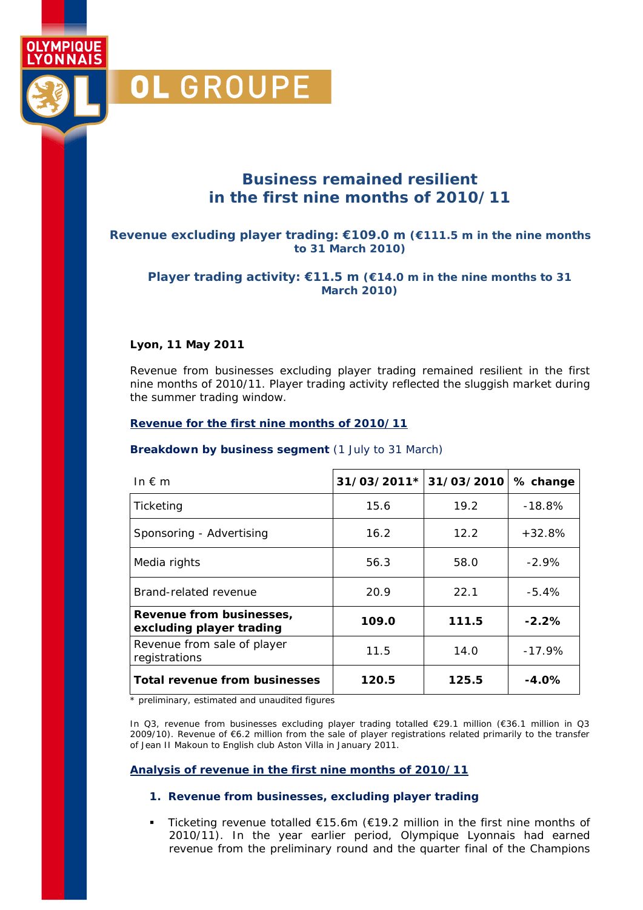

**VMPIQUE** 'ONNAIS

### **Business remained resilient in the first nine months of 2010/11**

#### **Revenue excluding player trading: €109.0 m (€111.5 m in the nine months to 31 March 2010)**

#### **Player trading activity: €11.5 m (€14.0 m in the nine months to 31 March 2010)**

#### **Lyon, 11 May 2011**

Revenue from businesses excluding player trading remained resilient in the first nine months of 2010/11. Player trading activity reflected the sluggish market during the summer trading window.

#### **Revenue for the first nine months of 2010/11**

#### **Breakdown by business segment** (1 July to 31 March)

| In $f{m}$                                            | 31/03/2011* | 31/03/2010 | % change |
|------------------------------------------------------|-------------|------------|----------|
| Ticketing                                            | 15.6        | 19.2       | $-18.8%$ |
| Sponsoring - Advertising                             | 16.2        | 12.2       | $+32.8%$ |
| Media rights                                         | 56.3        | 58.0       | $-2.9\%$ |
| Brand-related revenue                                | 20.9        | 22.1       | $-5.4%$  |
| Revenue from businesses,<br>excluding player trading | 109.0       | 111.5      | $-2.2%$  |
| Revenue from sale of player<br>registrations         | 11.5        | 14.0       | $-17.9%$ |
| <b>Total revenue from businesses</b>                 | 120.5       | 125.5      | $-4.0\%$ |

\* preliminary, estimated and unaudited figures

In Q3, revenue from businesses excluding player trading totalled €29.1 million (€36.1 million in Q3 2009/10). Revenue of €6.2 million from the sale of player registrations related primarily to the transfer of Jean II Makoun to English club Aston Villa in January 2011.

#### **Analysis of revenue in the first nine months of 2010/11**

#### **1. Revenue from businesses, excluding player trading**

 Ticketing revenue totalled €15.6m (€19.2 million in the first nine months of 2010/11). In the year earlier period, Olympique Lyonnais had earned revenue from the preliminary round and the quarter final of the Champions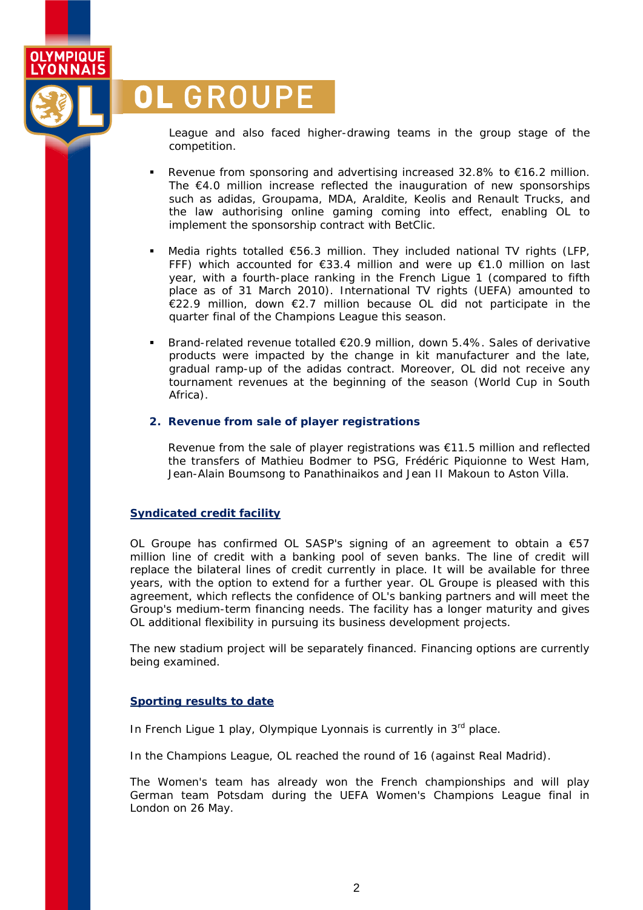# **OL GROUPE**

OLYMPIQUE **YONNAIS** 

> League and also faced higher-drawing teams in the group stage of the competition.

- Revenue from sponsoring and advertising increased 32.8% to €16.2 million. The  $\epsilon$ 4.0 million increase reflected the inauguration of new sponsorships such as adidas, Groupama, MDA, Araldite, Keolis and Renault Trucks, and the law authorising online gaming coming into effect, enabling OL to implement the sponsorship contract with BetClic.
- Media rights totalled €56.3 million. They included national TV rights (LFP, FFF) which accounted for €33.4 million and were up €1.0 million on last year, with a fourth-place ranking in the French Ligue 1 (compared to fifth place as of 31 March 2010). International TV rights (UEFA) amounted to €22.9 million, down €2.7 million because OL did not participate in the quarter final of the Champions League this season.
- Brand-related revenue totalled €20.9 million, down 5.4%. Sales of derivative products were impacted by the change in kit manufacturer and the late, gradual ramp-up of the adidas contract. Moreover, OL did not receive any tournament revenues at the beginning of the season (World Cup in South Africa).

#### **2. Revenue from sale of player registrations**

Revenue from the sale of player registrations was  $\epsilon$ 11.5 million and reflected the transfers of Mathieu Bodmer to PSG, Frédéric Piquionne to West Ham, Jean-Alain Boumsong to Panathinaikos and Jean II Makoun to Aston Villa.

#### **Syndicated credit facility**

OL Groupe has confirmed OL SASP's signing of an agreement to obtain a  $\epsilon$ 57 million line of credit with a banking pool of seven banks. The line of credit will replace the bilateral lines of credit currently in place. It will be available for three years, with the option to extend for a further year. OL Groupe is pleased with this agreement, which reflects the confidence of OL's banking partners and will meet the Group's medium-term financing needs. The facility has a longer maturity and gives OL additional flexibility in pursuing its business development projects.

The new stadium project will be separately financed. Financing options are currently being examined.

#### **Sporting results to date**

In French Ligue 1 play, Olympique Lyonnais is currently in 3<sup>rd</sup> place.

In the Champions League, OL reached the round of 16 (against Real Madrid).

The Women's team has already won the French championships and will play German team Potsdam during the UEFA Women's Champions League final in London on 26 May.